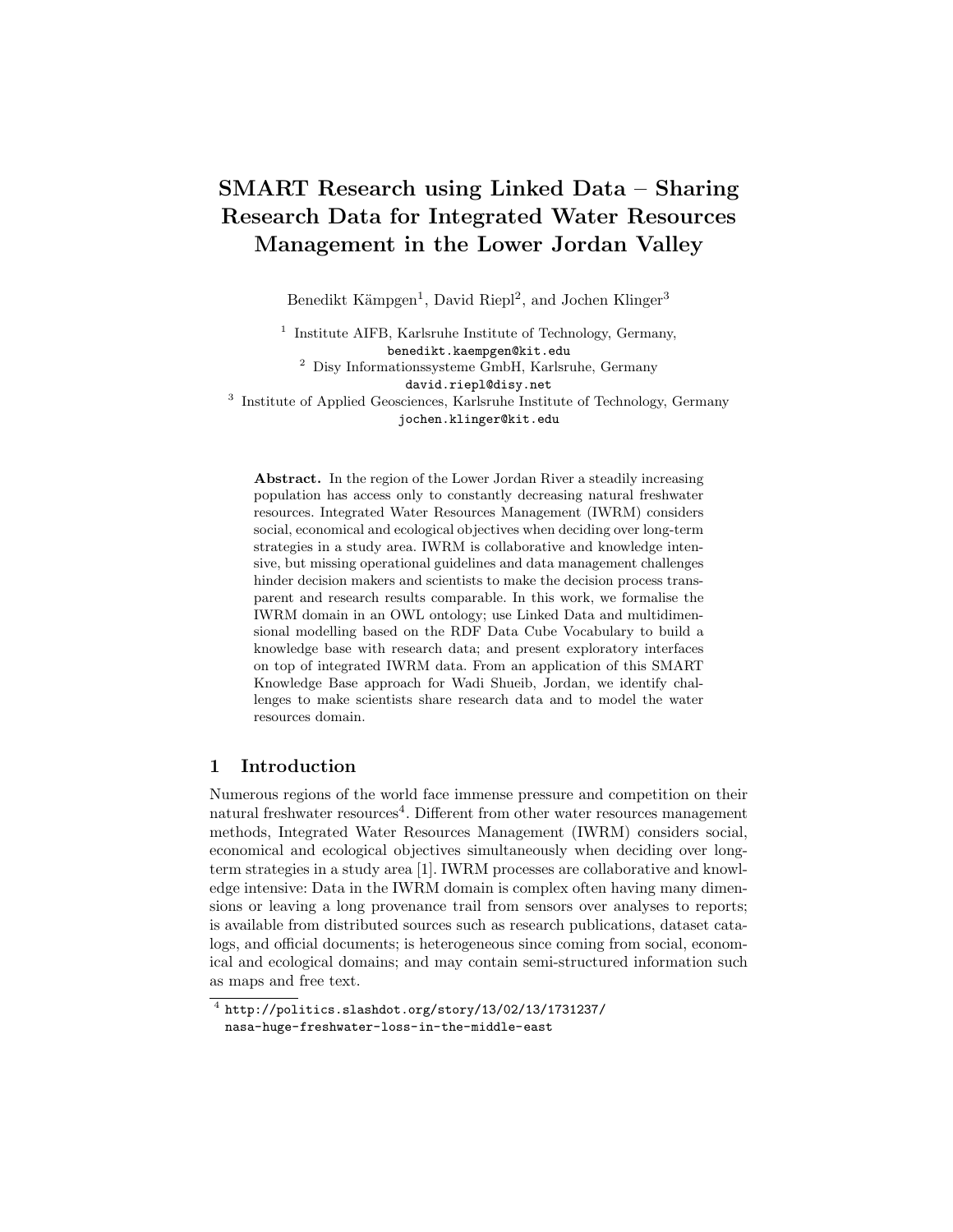# SMART Research using Linked Data – Sharing Research Data for Integrated Water Resources Management in the Lower Jordan Valley

Benedikt Kämpgen<sup>1</sup>, David Riepl<sup>2</sup>, and Jochen Klinger<sup>3</sup>

<sup>1</sup> Institute AIFB, Karlsruhe Institute of Technology, Germany, benedikt.kaempgen@kit.edu  $^2\,$  Disy Informations<br>systeme GmbH, Karlsruhe, Germany

david.riepl@disy.net

<sup>3</sup> Institute of Applied Geosciences, Karlsruhe Institute of Technology, Germany jochen.klinger@kit.edu

Abstract. In the region of the Lower Jordan River a steadily increasing population has access only to constantly decreasing natural freshwater resources. Integrated Water Resources Management (IWRM) considers social, economical and ecological objectives when deciding over long-term strategies in a study area. IWRM is collaborative and knowledge intensive, but missing operational guidelines and data management challenges hinder decision makers and scientists to make the decision process transparent and research results comparable. In this work, we formalise the IWRM domain in an OWL ontology; use Linked Data and multidimensional modelling based on the RDF Data Cube Vocabulary to build a knowledge base with research data; and present exploratory interfaces on top of integrated IWRM data. From an application of this SMART Knowledge Base approach for Wadi Shueib, Jordan, we identify challenges to make scientists share research data and to model the water resources domain.

## 1 Introduction

Numerous regions of the world face immense pressure and competition on their natural freshwater resources<sup>4</sup>. Different from other water resources management methods, Integrated Water Resources Management (IWRM) considers social, economical and ecological objectives simultaneously when deciding over longterm strategies in a study area [1]. IWRM processes are collaborative and knowledge intensive: Data in the IWRM domain is complex often having many dimensions or leaving a long provenance trail from sensors over analyses to reports; is available from distributed sources such as research publications, dataset catalogs, and official documents; is heterogeneous since coming from social, economical and ecological domains; and may contain semi-structured information such as maps and free text.

 $^4$  http://politics.slashdot.org/story/13/02/13/1731237/ nasa-huge-freshwater-loss-in-the-middle-east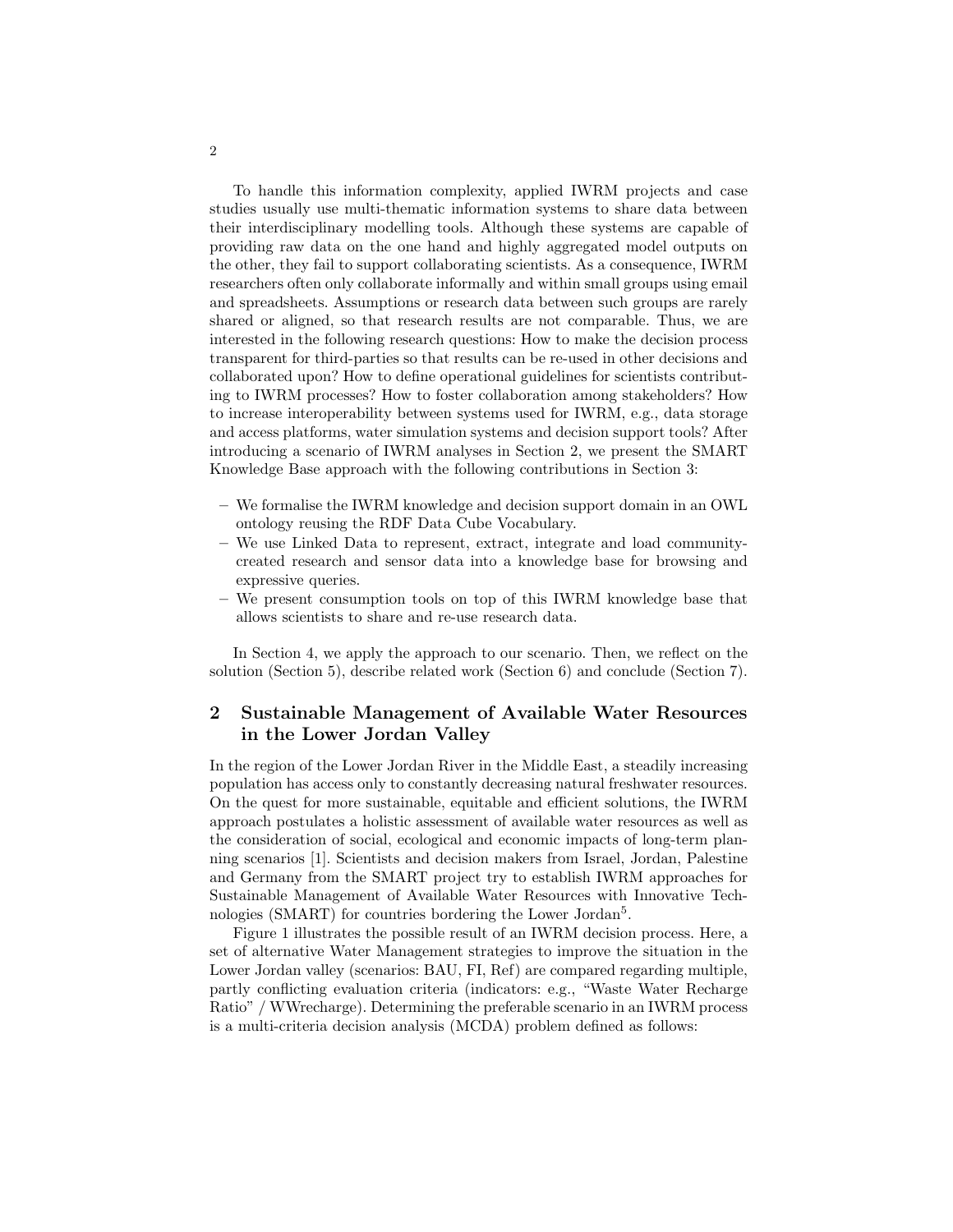To handle this information complexity, applied IWRM projects and case studies usually use multi-thematic information systems to share data between their interdisciplinary modelling tools. Although these systems are capable of providing raw data on the one hand and highly aggregated model outputs on the other, they fail to support collaborating scientists. As a consequence, IWRM researchers often only collaborate informally and within small groups using email and spreadsheets. Assumptions or research data between such groups are rarely shared or aligned, so that research results are not comparable. Thus, we are interested in the following research questions: How to make the decision process transparent for third-parties so that results can be re-used in other decisions and collaborated upon? How to define operational guidelines for scientists contributing to IWRM processes? How to foster collaboration among stakeholders? How to increase interoperability between systems used for IWRM, e.g., data storage and access platforms, water simulation systems and decision support tools? After introducing a scenario of IWRM analyses in Section 2, we present the SMART Knowledge Base approach with the following contributions in Section 3:

- We formalise the IWRM knowledge and decision support domain in an OWL ontology reusing the RDF Data Cube Vocabulary.
- We use Linked Data to represent, extract, integrate and load communitycreated research and sensor data into a knowledge base for browsing and expressive queries.
- We present consumption tools on top of this IWRM knowledge base that allows scientists to share and re-use research data.

In Section 4, we apply the approach to our scenario. Then, we reflect on the solution (Section 5), describe related work (Section 6) and conclude (Section 7).

# 2 Sustainable Management of Available Water Resources in the Lower Jordan Valley

In the region of the Lower Jordan River in the Middle East, a steadily increasing population has access only to constantly decreasing natural freshwater resources. On the quest for more sustainable, equitable and efficient solutions, the IWRM approach postulates a holistic assessment of available water resources as well as the consideration of social, ecological and economic impacts of long-term planning scenarios [1]. Scientists and decision makers from Israel, Jordan, Palestine and Germany from the SMART project try to establish IWRM approaches for Sustainable Management of Available Water Resources with Innovative Technologies (SMART) for countries bordering the Lower Jordan<sup>5</sup>.

Figure 1 illustrates the possible result of an IWRM decision process. Here, a set of alternative Water Management strategies to improve the situation in the Lower Jordan valley (scenarios: BAU, FI, Ref) are compared regarding multiple, partly conflicting evaluation criteria (indicators: e.g., "Waste Water Recharge Ratio" / WWrecharge). Determining the preferable scenario in an IWRM process is a multi-criteria decision analysis (MCDA) problem defined as follows: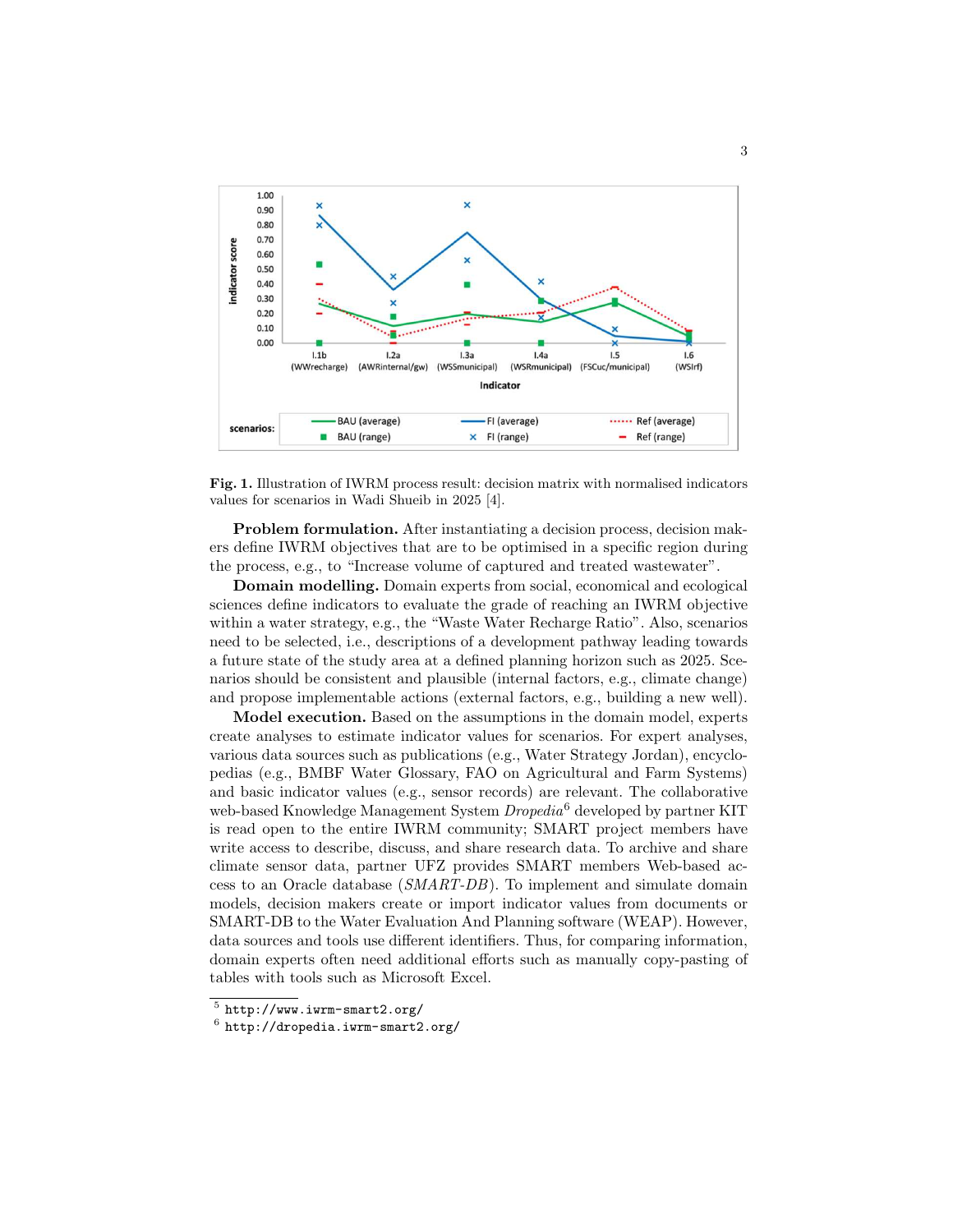

Fig. 1. Illustration of IWRM process result: decision matrix with normalised indicators values for scenarios in Wadi Shueib in 2025 [4].

Problem formulation. After instantiating a decision process, decision makers define IWRM objectives that are to be optimised in a specific region during the process, e.g., to "Increase volume of captured and treated wastewater".

Domain modelling. Domain experts from social, economical and ecological sciences define indicators to evaluate the grade of reaching an IWRM objective within a water strategy, e.g., the "Waste Water Recharge Ratio". Also, scenarios need to be selected, i.e., descriptions of a development pathway leading towards a future state of the study area at a defined planning horizon such as 2025. Scenarios should be consistent and plausible (internal factors, e.g., climate change) and propose implementable actions (external factors, e.g., building a new well).

Model execution. Based on the assumptions in the domain model, experts create analyses to estimate indicator values for scenarios. For expert analyses, various data sources such as publications (e.g., Water Strategy Jordan), encyclopedias (e.g., BMBF Water Glossary, FAO on Agricultural and Farm Systems) and basic indicator values (e.g., sensor records) are relevant. The collaborative web-based Knowledge Management System Dropedia<sup>6</sup> developed by partner KIT is read open to the entire IWRM community; SMART project members have write access to describe, discuss, and share research data. To archive and share climate sensor data, partner UFZ provides SMART members Web-based access to an Oracle database (SMART-DB). To implement and simulate domain models, decision makers create or import indicator values from documents or SMART-DB to the Water Evaluation And Planning software (WEAP). However, data sources and tools use different identifiers. Thus, for comparing information, domain experts often need additional efforts such as manually copy-pasting of tables with tools such as Microsoft Excel.

 $5$ http://www.iwrm-smart2.org/

 $^6$  http://dropedia.iwrm-smart2.org/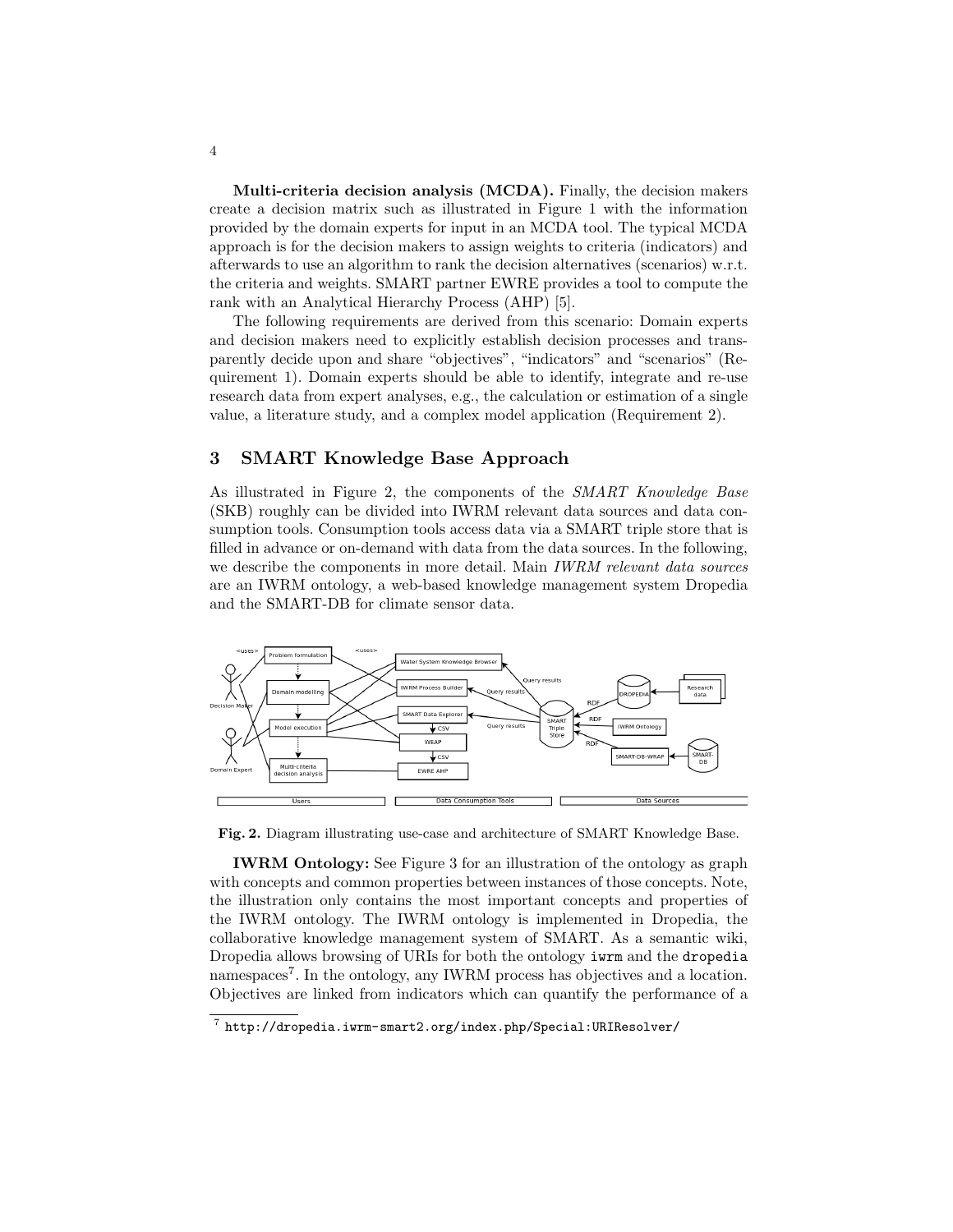Multi-criteria decision analysis (MCDA). Finally, the decision makers create a decision matrix such as illustrated in Figure 1 with the information provided by the domain experts for input in an MCDA tool. The typical MCDA approach is for the decision makers to assign weights to criteria (indicators) and afterwards to use an algorithm to rank the decision alternatives (scenarios) w.r.t. the criteria and weights. SMART partner EWRE provides a tool to compute the rank with an Analytical Hierarchy Process (AHP) [5].

The following requirements are derived from this scenario: Domain experts and decision makers need to explicitly establish decision processes and transparently decide upon and share "objectives", "indicators" and "scenarios" (Requirement 1). Domain experts should be able to identify, integrate and re-use research data from expert analyses, e.g., the calculation or estimation of a single value, a literature study, and a complex model application (Requirement 2).

#### 3 SMART Knowledge Base Approach

As illustrated in Figure 2, the components of the SMART Knowledge Base (SKB) roughly can be divided into IWRM relevant data sources and data consumption tools. Consumption tools access data via a SMART triple store that is filled in advance or on-demand with data from the data sources. In the following, we describe the components in more detail. Main *IWRM relevant data sources* are an IWRM ontology, a web-based knowledge management system Dropedia and the SMART-DB for climate sensor data.



Fig. 2. Diagram illustrating use-case and architecture of SMART Knowledge Base.

IWRM Ontology: See Figure 3 for an illustration of the ontology as graph with concepts and common properties between instances of those concepts. Note, the illustration only contains the most important concepts and properties of the IWRM ontology. The IWRM ontology is implemented in Dropedia, the collaborative knowledge management system of SMART. As a semantic wiki, Dropedia allows browsing of URIs for both the ontology iwrm and the dropedia namespaces<sup>7</sup>. In the ontology, any IWRM process has objectives and a location. Objectives are linked from indicators which can quantify the performance of a

 $^7$  http://dropedia.iwrm-smart2.org/index.php/Special:URIResolver/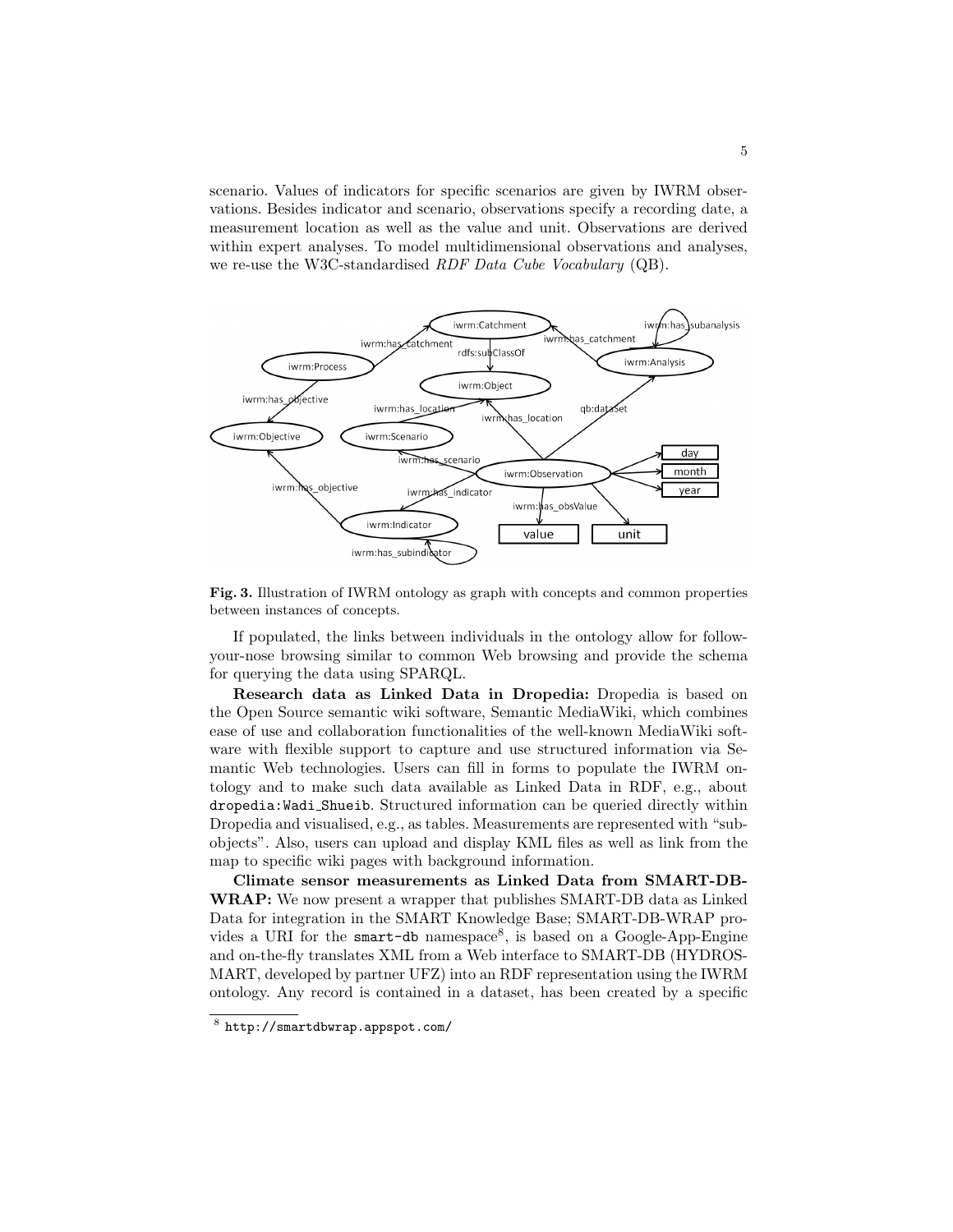scenario. Values of indicators for specific scenarios are given by IWRM observations. Besides indicator and scenario, observations specify a recording date, a measurement location as well as the value and unit. Observations are derived within expert analyses. To model multidimensional observations and analyses, we re-use the W3C-standardised RDF Data Cube Vocabulary (QB).



Fig. 3. Illustration of IWRM ontology as graph with concepts and common properties between instances of concepts.

If populated, the links between individuals in the ontology allow for followyour-nose browsing similar to common Web browsing and provide the schema for querying the data using SPARQL.

Research data as Linked Data in Dropedia: Dropedia is based on the Open Source semantic wiki software, Semantic MediaWiki, which combines ease of use and collaboration functionalities of the well-known MediaWiki software with flexible support to capture and use structured information via Semantic Web technologies. Users can fill in forms to populate the IWRM ontology and to make such data available as Linked Data in RDF, e.g., about dropedia:Wadi Shueib. Structured information can be queried directly within Dropedia and visualised, e.g., as tables. Measurements are represented with "subobjects". Also, users can upload and display KML files as well as link from the map to specific wiki pages with background information.

Climate sensor measurements as Linked Data from SMART-DB-WRAP: We now present a wrapper that publishes SMART-DB data as Linked Data for integration in the SMART Knowledge Base; SMART-DB-WRAP provides a URI for the smart-db namespace<sup>8</sup>, is based on a Google-App-Engine and on-the-fly translates XML from a Web interface to SMART-DB (HYDROS-MART, developed by partner UFZ) into an RDF representation using the IWRM ontology. Any record is contained in a dataset, has been created by a specific

<sup>8</sup> http://smartdbwrap.appspot.com/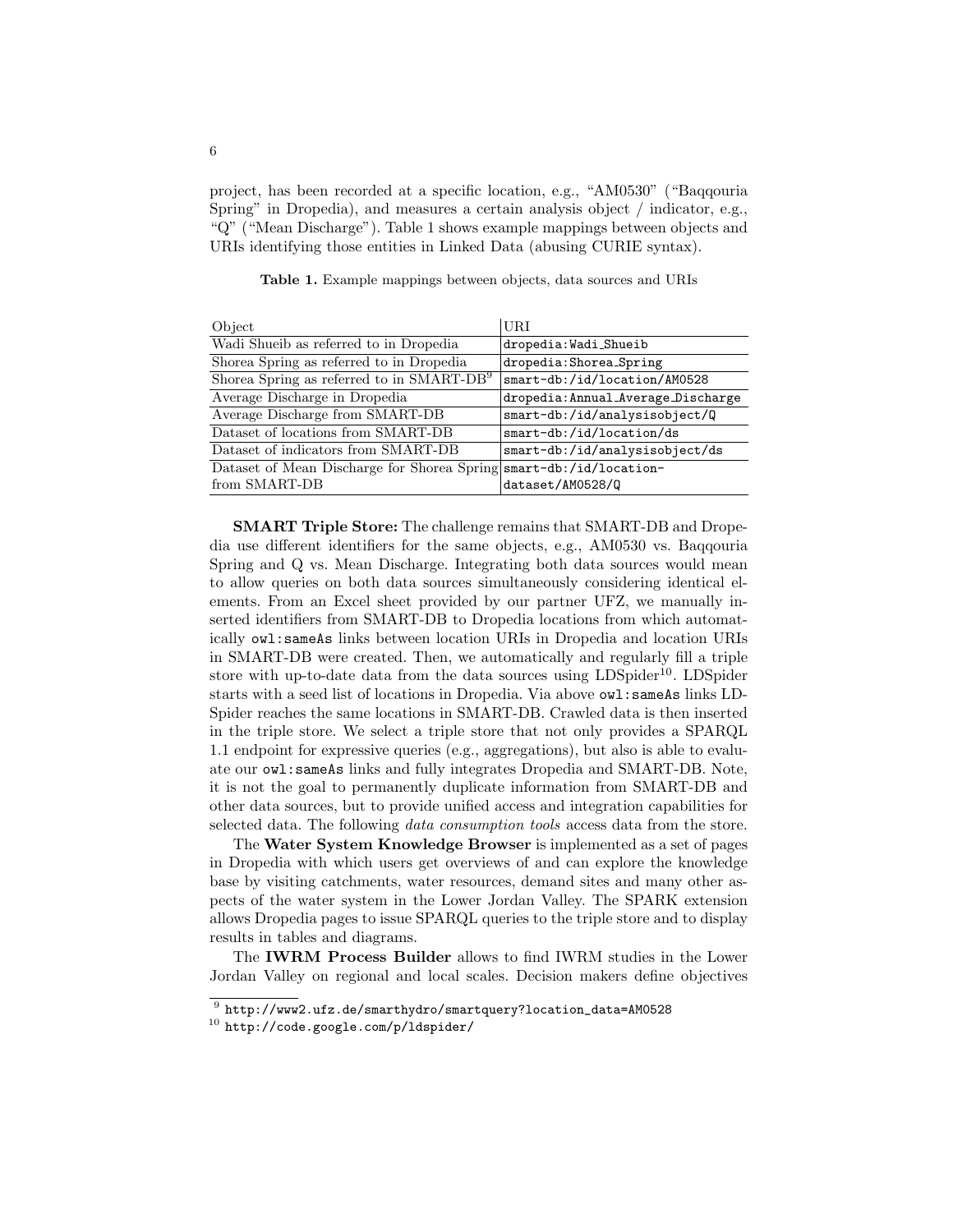project, has been recorded at a specific location, e.g., "AM0530" ("Baqqouria Spring" in Dropedia), and measures a certain analysis object / indicator, e.g., "Q" ("Mean Discharge"). Table 1 shows example mappings between objects and URIs identifying those entities in Linked Data (abusing CURIE syntax).

| Object                                                             | <b>URI</b>                         |
|--------------------------------------------------------------------|------------------------------------|
| Wadi Shueib as referred to in Dropedia                             | dropedia: Wadi_Shueib              |
| Shorea Spring as referred to in Dropedia                           | dropedia: Shorea_Spring            |
| Shorea Spring as referred to in SMART-DB <sup>9</sup>              | smart-db:/id/location/AM0528       |
| Average Discharge in Dropedia                                      | dropedia: Annual_Average_Discharge |
| Average Discharge from SMART-DB                                    | smart-db:/id/analysisobject/Q      |
| Dataset of locations from SMART-DB                                 | smart-db:/id/location/ds           |
| Dataset of indicators from SMART-DB                                | smart-db:/id/analysisobject/ds     |
| Dataset of Mean Discharge for Shorea Spring smart-db:/id/location- |                                    |
| from SMART-DB                                                      | dataset/AM0528/Q                   |

Table 1. Example mappings between objects, data sources and URIs

SMART Triple Store: The challenge remains that SMART-DB and Dropedia use different identifiers for the same objects, e.g., AM0530 vs. Baqqouria Spring and Q vs. Mean Discharge. Integrating both data sources would mean to allow queries on both data sources simultaneously considering identical elements. From an Excel sheet provided by our partner UFZ, we manually inserted identifiers from SMART-DB to Dropedia locations from which automatically owl:sameAs links between location URIs in Dropedia and location URIs in SMART-DB were created. Then, we automatically and regularly fill a triple store with up-to-date data from the data sources using  $LDSpider^{10}$ . LDSpider starts with a seed list of locations in Dropedia. Via above owl:sameAs links LD-Spider reaches the same locations in SMART-DB. Crawled data is then inserted in the triple store. We select a triple store that not only provides a SPARQL 1.1 endpoint for expressive queries (e.g., aggregations), but also is able to evaluate our owl:sameAs links and fully integrates Dropedia and SMART-DB. Note, it is not the goal to permanently duplicate information from SMART-DB and other data sources, but to provide unified access and integration capabilities for selected data. The following data consumption tools access data from the store.

The Water System Knowledge Browser is implemented as a set of pages in Dropedia with which users get overviews of and can explore the knowledge base by visiting catchments, water resources, demand sites and many other aspects of the water system in the Lower Jordan Valley. The SPARK extension allows Dropedia pages to issue SPARQL queries to the triple store and to display results in tables and diagrams.

The IWRM Process Builder allows to find IWRM studies in the Lower Jordan Valley on regional and local scales. Decision makers define objectives

 $^9$  http://www2.ufz.de/smarthydro/smartquery?location\_data=AM0528

 $10$  http://code.google.com/p/ldspider/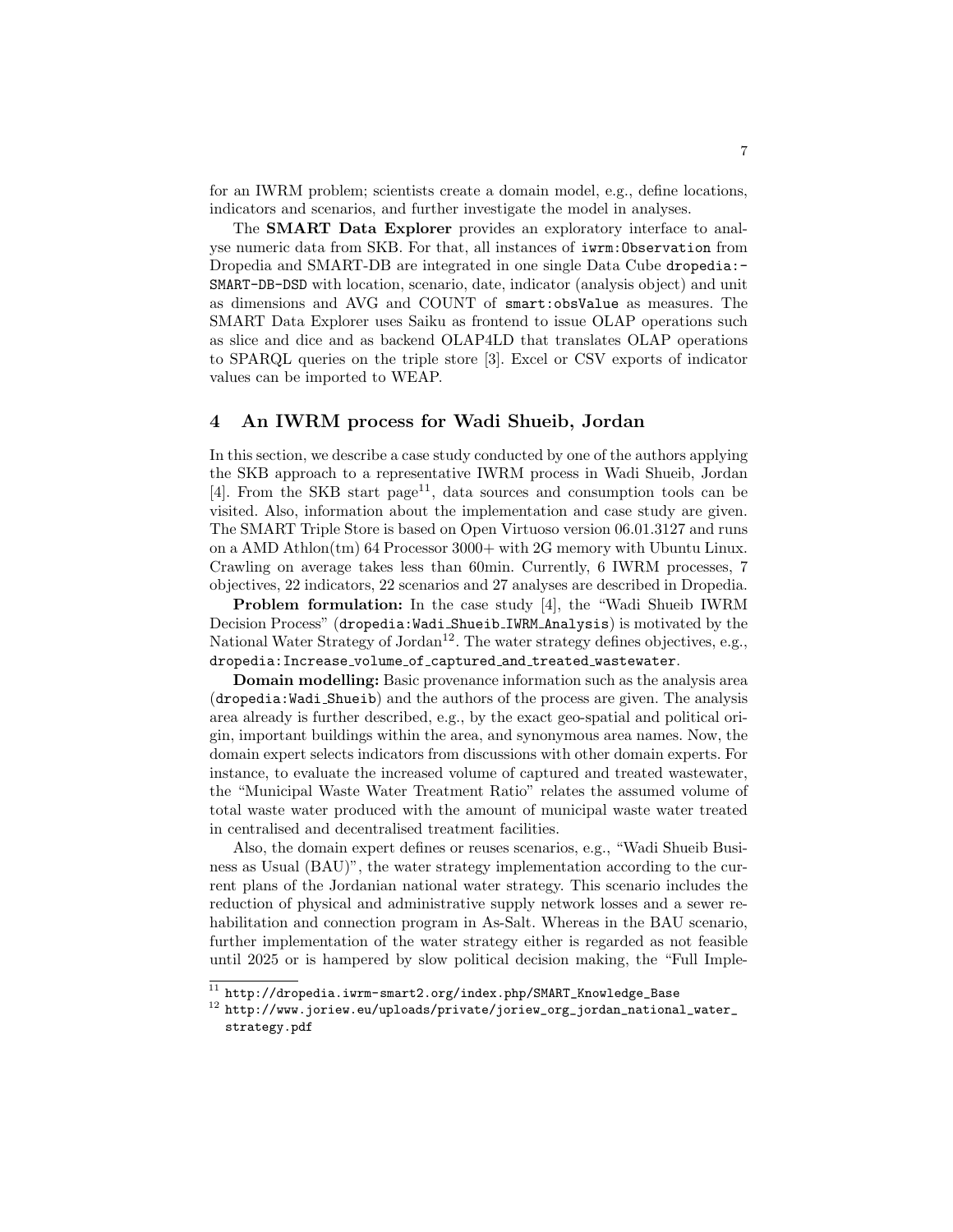for an IWRM problem; scientists create a domain model, e.g., define locations, indicators and scenarios, and further investigate the model in analyses.

The SMART Data Explorer provides an exploratory interface to analyse numeric data from SKB. For that, all instances of iwrm:Observation from Dropedia and SMART-DB are integrated in one single Data Cube dropedia:- SMART-DB-DSD with location, scenario, date, indicator (analysis object) and unit as dimensions and AVG and COUNT of smart:obsValue as measures. The SMART Data Explorer uses Saiku as frontend to issue OLAP operations such as slice and dice and as backend OLAP4LD that translates OLAP operations to SPARQL queries on the triple store [3]. Excel or CSV exports of indicator values can be imported to WEAP.

#### 4 An IWRM process for Wadi Shueib, Jordan

In this section, we describe a case study conducted by one of the authors applying the SKB approach to a representative IWRM process in Wadi Shueib, Jordan [4]. From the SKB start page<sup>11</sup>, data sources and consumption tools can be visited. Also, information about the implementation and case study are given. The SMART Triple Store is based on Open Virtuoso version 06.01.3127 and runs on a AMD Athlon(tm) 64 Processor 3000+ with 2G memory with Ubuntu Linux. Crawling on average takes less than 60min. Currently, 6 IWRM processes, 7 objectives, 22 indicators, 22 scenarios and 27 analyses are described in Dropedia.

Problem formulation: In the case study [4], the "Wadi Shueib IWRM Decision Process" (dropedia:Wadi Shueib IWRM Analysis) is motivated by the National Water Strategy of Jordan<sup>12</sup>. The water strategy defines objectives, e.g., dropedia:Increase volume of captured and treated wastewater.

Domain modelling: Basic provenance information such as the analysis area (dropedia:Wadi Shueib) and the authors of the process are given. The analysis area already is further described, e.g., by the exact geo-spatial and political origin, important buildings within the area, and synonymous area names. Now, the domain expert selects indicators from discussions with other domain experts. For instance, to evaluate the increased volume of captured and treated wastewater, the "Municipal Waste Water Treatment Ratio" relates the assumed volume of total waste water produced with the amount of municipal waste water treated in centralised and decentralised treatment facilities.

Also, the domain expert defines or reuses scenarios, e.g., "Wadi Shueib Business as Usual (BAU)", the water strategy implementation according to the current plans of the Jordanian national water strategy. This scenario includes the reduction of physical and administrative supply network losses and a sewer rehabilitation and connection program in As-Salt. Whereas in the BAU scenario, further implementation of the water strategy either is regarded as not feasible until 2025 or is hampered by slow political decision making, the "Full Imple-

 $^{11}$  http://dropedia.iwrm-smart2.org/index.php/SMART\_Knowledge\_Base

 $^{12}$ http://www.joriew.eu/uploads/private/joriew\_org\_jordan\_national\_water\_ strategy.pdf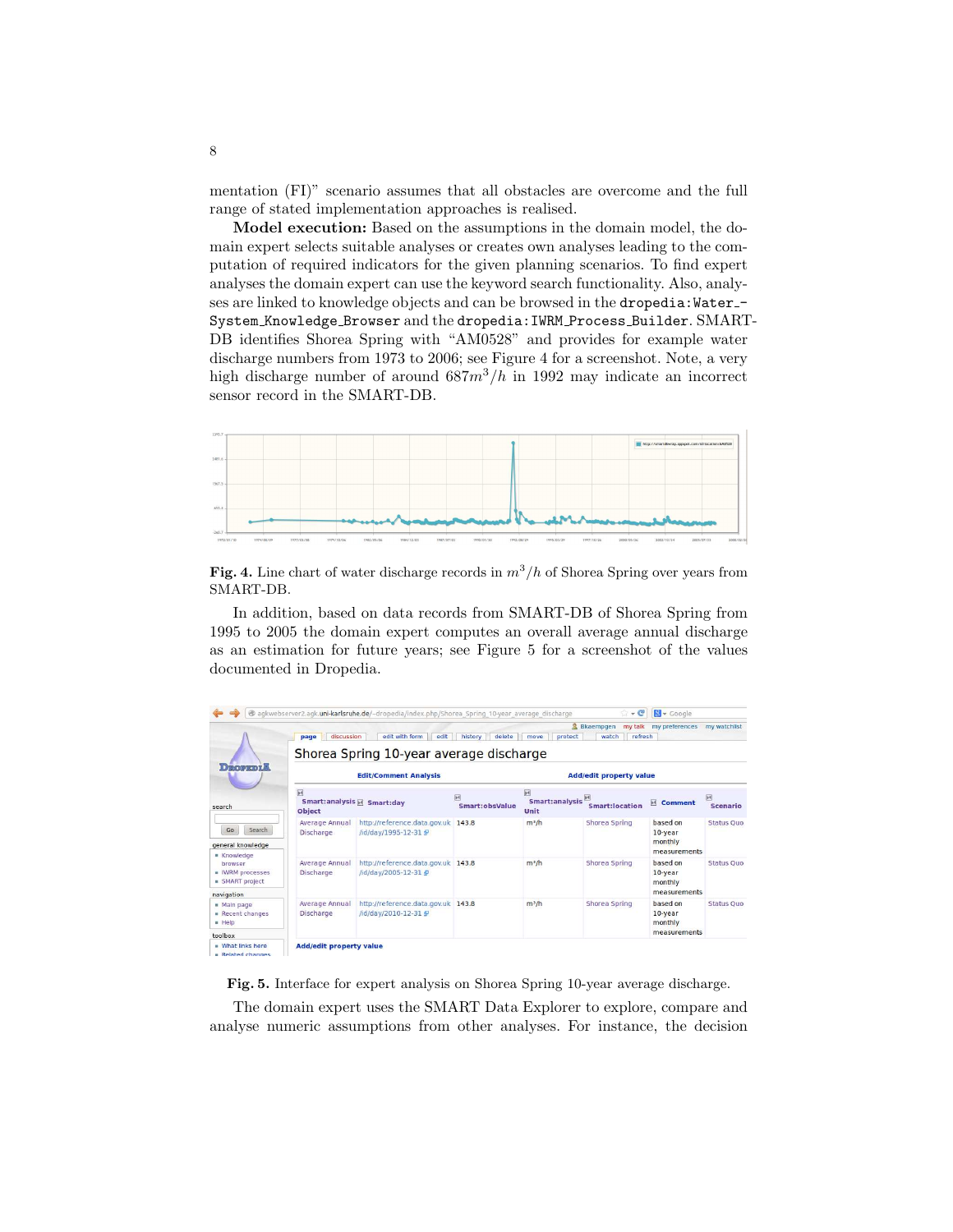mentation (FI)" scenario assumes that all obstacles are overcome and the full range of stated implementation approaches is realised.

Model execution: Based on the assumptions in the domain model, the domain expert selects suitable analyses or creates own analyses leading to the computation of required indicators for the given planning scenarios. To find expert analyses the domain expert can use the keyword search functionality. Also, analyses are linked to knowledge objects and can be browsed in the dropedia: Water-System Knowledge Browser and the dropedia:IWRM Process Builder. SMART-DB identifies Shorea Spring with "AM0528" and provides for example water discharge numbers from 1973 to 2006; see Figure 4 for a screenshot. Note, a very high discharge number of around  $687m^3/h$  in 1992 may indicate an incorrect sensor record in the SMART-DB.



Fig. 4. Line chart of water discharge records in  $m^3/h$  of Shorea Spring over years from SMART-DB.

In addition, based on data records from SMART-DB of Shorea Spring from 1995 to 2005 the domain expert computes an overall average annual discharge as an estimation for future years; see Figure 5 for a screenshot of the values documented in Dropedia.

| page                               | edit with form<br>edit       | history<br>delete                          | move<br>protect                                                                                                | watch                                   | my preferences                                 | my watchlist                       |
|------------------------------------|------------------------------|--------------------------------------------|----------------------------------------------------------------------------------------------------------------|-----------------------------------------|------------------------------------------------|------------------------------------|
|                                    | <b>Edit/Comment Analysis</b> | <b>Add/edit property value</b>             |                                                                                                                |                                         |                                                |                                    |
| $\blacksquare$<br><b>Object</b>    |                              | 网<br>Smart:obsValue                        | $\overline{\mathbb{M}}$<br>Unit                                                                                | $\mathbb{H}$<br><b>Smart:location</b>   | <b>Ex Comment</b>                              | $\mathbb{R}$<br><b>Scenario</b>    |
| Average Annual<br><b>Discharge</b> | /id/day/1995-12-31 화         |                                            | m <sup>3</sup> /h                                                                                              | Shorea Spring                           | based on<br>10-year<br>monthly<br>measurements | <b>Status Ouo</b>                  |
| Average Annual<br><b>Discharge</b> | /id/day/2005-12-31 #         |                                            | m <sup>3</sup> /h                                                                                              | Shorea Spring                           | based on<br>$10$ -vear<br>monthly              | <b>Status Ouo</b>                  |
| Average Annual<br><b>Discharge</b> | /id/day/2010-12-31 \$P       |                                            | $m^3/h$                                                                                                        | Shorea Spring                           | based on<br>10-year<br>monthly                 | <b>Status Ouo</b>                  |
|                                    |                              | discussion<br>Smart: analysis F Smart: day | http://reference.data.gov.uk 143.8<br>http://reference.data.gov.uk 143.8<br>http://reference.data.gov.uk 143.8 | Shorea Spring 10-year average discharge | & Bkaempgen<br>Smart:analysis                  | my talk<br>refresh<br>measurements |

Fig. 5. Interface for expert analysis on Shorea Spring 10-year average discharge.

The domain expert uses the SMART Data Explorer to explore, compare and analyse numeric assumptions from other analyses. For instance, the decision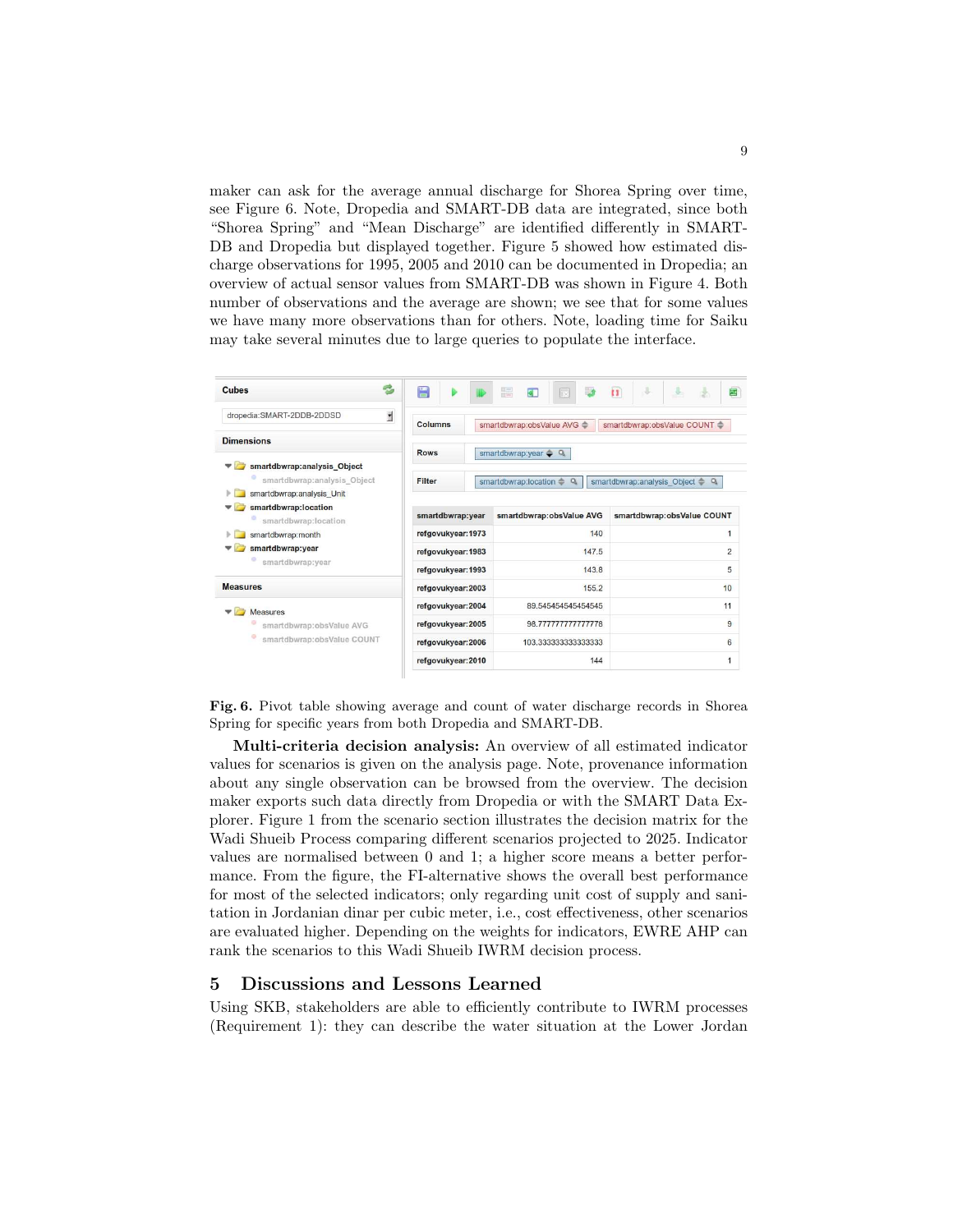maker can ask for the average annual discharge for Shorea Spring over time, see Figure 6. Note, Dropedia and SMART-DB data are integrated, since both "Shorea Spring" and "Mean Discharge" are identified differently in SMART-DB and Dropedia but displayed together. Figure 5 showed how estimated discharge observations for 1995, 2005 and 2010 can be documented in Dropedia; an overview of actual sensor values from SMART-DB was shown in Figure 4. Both number of observations and the average are shown; we see that for some values we have many more observations than for others. Note, loading time for Saiku may take several minutes due to large queries to populate the interface.

| e,<br>Cubes                                              | 罥                                                                                         |                                              | E                          |       | $\mathbf{H}$   | $\mathcal{A}$              |                            | 囤 |
|----------------------------------------------------------|-------------------------------------------------------------------------------------------|----------------------------------------------|----------------------------|-------|----------------|----------------------------|----------------------------|---|
| d<br>dropedia:SMART-2DDB-2DDSD                           | Columns                                                                                   |                                              | smartdbwrap:obsValue AVG < |       |                |                            | smartdbwrap:obsValue COUNT |   |
| <b>Dimensions</b>                                        |                                                                                           |                                              |                            |       |                |                            |                            |   |
| smartdbwrap:analysis_Object                              | <b>Rows</b><br>smartdbwrap:year $\rightarrow Q$                                           |                                              |                            |       |                |                            |                            |   |
| smartdbwrap:analysis Object<br>smartdbwrap:analysis Unit | Filter<br>smartdbwrap:location =<br>$\alpha$<br>smartdbwrap:analysis Object =<br>$\alpha$ |                                              |                            |       |                |                            |                            |   |
| smartdbwrap:location<br>smartdbwrap:location             |                                                                                           | smartdbwrap:year<br>smartdbwrap:obsValue AVG |                            |       |                | smartdbwrap:obsValue COUNT |                            |   |
| smartdbwrap:month                                        | refgovukyear: 1973                                                                        |                                              | 140                        |       |                | 1                          |                            |   |
| smartdbwrap:year<br>smartdbwrap:year                     | refgovukyear: 1983                                                                        |                                              |                            | 147.5 | $\overline{2}$ |                            |                            |   |
|                                                          | refgovukyear: 1993                                                                        |                                              | 143.8                      |       |                | 5                          |                            |   |
| <b>Measures</b>                                          | refgovukyear: 2003                                                                        |                                              | 155.2                      |       |                | 10                         |                            |   |
| <b>Measures</b>                                          | refgovukyear: 2004                                                                        |                                              | 89.545454545454545         |       |                | 11                         |                            |   |
| smartdbwrap:obsValue AVG                                 | refgovukyear: 2005                                                                        |                                              | 98.777777777777778         |       |                | 9                          |                            |   |
| smartdbwrap:obsValue COUNT                               | refgovukyear: 2006                                                                        |                                              | 103.333333333333333        |       |                | 6                          |                            |   |
|                                                          | refgovukyear: 2010                                                                        |                                              | 144                        |       |                |                            |                            | 1 |

Fig. 6. Pivot table showing average and count of water discharge records in Shorea Spring for specific years from both Dropedia and SMART-DB.

Multi-criteria decision analysis: An overview of all estimated indicator values for scenarios is given on the analysis page. Note, provenance information about any single observation can be browsed from the overview. The decision maker exports such data directly from Dropedia or with the SMART Data Explorer. Figure 1 from the scenario section illustrates the decision matrix for the Wadi Shueib Process comparing different scenarios projected to 2025. Indicator values are normalised between 0 and 1; a higher score means a better performance. From the figure, the FI-alternative shows the overall best performance for most of the selected indicators; only regarding unit cost of supply and sanitation in Jordanian dinar per cubic meter, i.e., cost effectiveness, other scenarios are evaluated higher. Depending on the weights for indicators, EWRE AHP can rank the scenarios to this Wadi Shueib IWRM decision process.

#### 5 Discussions and Lessons Learned

Using SKB, stakeholders are able to efficiently contribute to IWRM processes (Requirement 1): they can describe the water situation at the Lower Jordan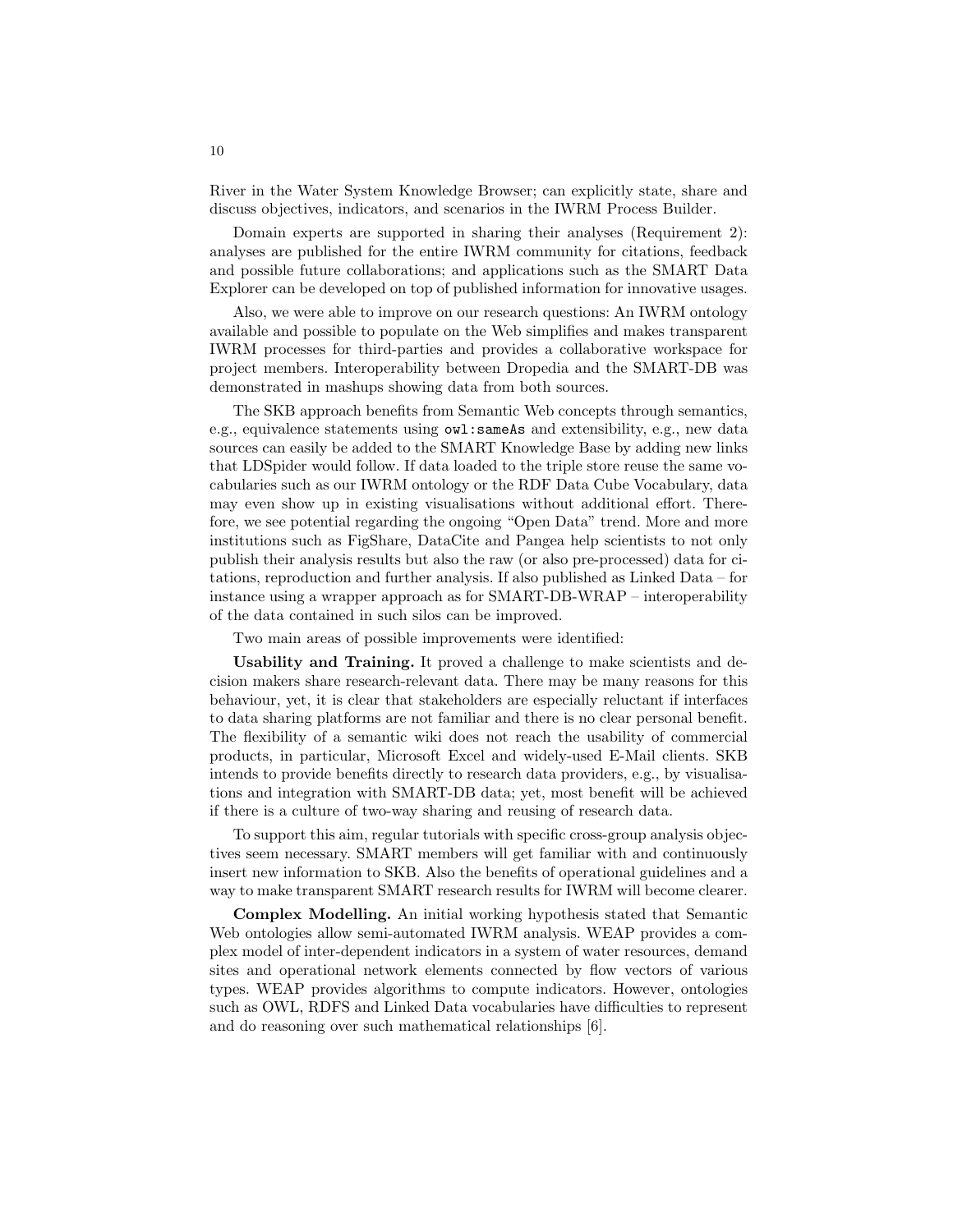River in the Water System Knowledge Browser; can explicitly state, share and discuss objectives, indicators, and scenarios in the IWRM Process Builder.

Domain experts are supported in sharing their analyses (Requirement 2): analyses are published for the entire IWRM community for citations, feedback and possible future collaborations; and applications such as the SMART Data Explorer can be developed on top of published information for innovative usages.

Also, we were able to improve on our research questions: An IWRM ontology available and possible to populate on the Web simplifies and makes transparent IWRM processes for third-parties and provides a collaborative workspace for project members. Interoperability between Dropedia and the SMART-DB was demonstrated in mashups showing data from both sources.

The SKB approach benefits from Semantic Web concepts through semantics, e.g., equivalence statements using owl:sameAs and extensibility, e.g., new data sources can easily be added to the SMART Knowledge Base by adding new links that LDSpider would follow. If data loaded to the triple store reuse the same vocabularies such as our IWRM ontology or the RDF Data Cube Vocabulary, data may even show up in existing visualisations without additional effort. Therefore, we see potential regarding the ongoing "Open Data" trend. More and more institutions such as FigShare, DataCite and Pangea help scientists to not only publish their analysis results but also the raw (or also pre-processed) data for citations, reproduction and further analysis. If also published as Linked Data – for instance using a wrapper approach as for SMART-DB-WRAP – interoperability of the data contained in such silos can be improved.

Two main areas of possible improvements were identified:

Usability and Training. It proved a challenge to make scientists and decision makers share research-relevant data. There may be many reasons for this behaviour, yet, it is clear that stakeholders are especially reluctant if interfaces to data sharing platforms are not familiar and there is no clear personal benefit. The flexibility of a semantic wiki does not reach the usability of commercial products, in particular, Microsoft Excel and widely-used E-Mail clients. SKB intends to provide benefits directly to research data providers, e.g., by visualisations and integration with SMART-DB data; yet, most benefit will be achieved if there is a culture of two-way sharing and reusing of research data.

To support this aim, regular tutorials with specific cross-group analysis objectives seem necessary. SMART members will get familiar with and continuously insert new information to SKB. Also the benefits of operational guidelines and a way to make transparent SMART research results for IWRM will become clearer.

Complex Modelling. An initial working hypothesis stated that Semantic Web ontologies allow semi-automated IWRM analysis. WEAP provides a complex model of inter-dependent indicators in a system of water resources, demand sites and operational network elements connected by flow vectors of various types. WEAP provides algorithms to compute indicators. However, ontologies such as OWL, RDFS and Linked Data vocabularies have difficulties to represent and do reasoning over such mathematical relationships [6].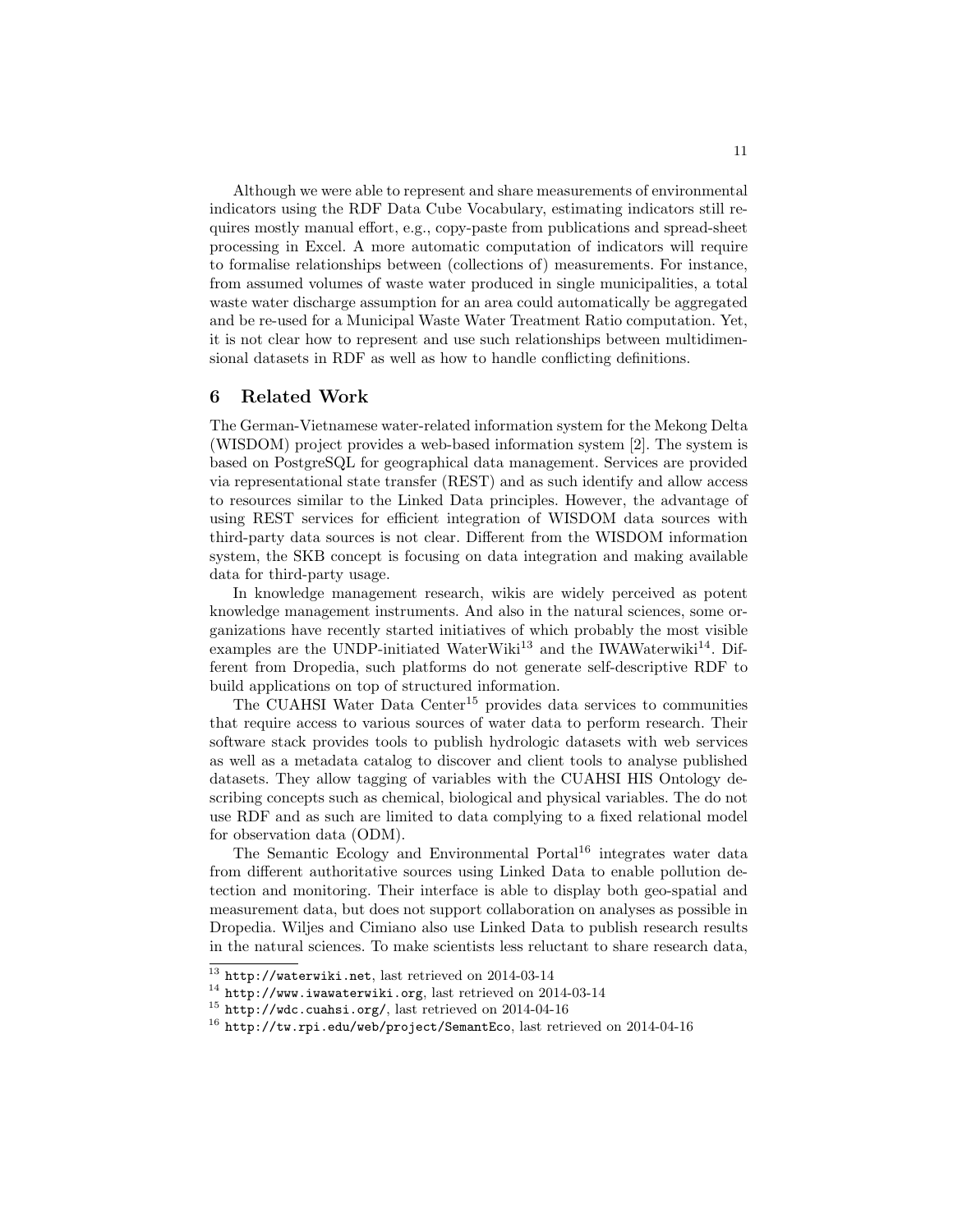Although we were able to represent and share measurements of environmental indicators using the RDF Data Cube Vocabulary, estimating indicators still requires mostly manual effort, e.g., copy-paste from publications and spread-sheet processing in Excel. A more automatic computation of indicators will require to formalise relationships between (collections of) measurements. For instance, from assumed volumes of waste water produced in single municipalities, a total waste water discharge assumption for an area could automatically be aggregated and be re-used for a Municipal Waste Water Treatment Ratio computation. Yet, it is not clear how to represent and use such relationships between multidimensional datasets in RDF as well as how to handle conflicting definitions.

#### 6 Related Work

The German-Vietnamese water-related information system for the Mekong Delta (WISDOM) project provides a web-based information system [2]. The system is based on PostgreSQL for geographical data management. Services are provided via representational state transfer (REST) and as such identify and allow access to resources similar to the Linked Data principles. However, the advantage of using REST services for efficient integration of WISDOM data sources with third-party data sources is not clear. Different from the WISDOM information system, the SKB concept is focusing on data integration and making available data for third-party usage.

In knowledge management research, wikis are widely perceived as potent knowledge management instruments. And also in the natural sciences, some organizations have recently started initiatives of which probably the most visible examples are the UNDP-initiated WaterWiki<sup>13</sup> and the IWAWaterwiki<sup>14</sup>. Different from Dropedia, such platforms do not generate self-descriptive RDF to build applications on top of structured information.

The CUAHSI Water Data Center<sup>15</sup> provides data services to communities that require access to various sources of water data to perform research. Their software stack provides tools to publish hydrologic datasets with web services as well as a metadata catalog to discover and client tools to analyse published datasets. They allow tagging of variables with the CUAHSI HIS Ontology describing concepts such as chemical, biological and physical variables. The do not use RDF and as such are limited to data complying to a fixed relational model for observation data (ODM).

The Semantic Ecology and Environmental Portal<sup>16</sup> integrates water data from different authoritative sources using Linked Data to enable pollution detection and monitoring. Their interface is able to display both geo-spatial and measurement data, but does not support collaboration on analyses as possible in Dropedia. Wiljes and Cimiano also use Linked Data to publish research results in the natural sciences. To make scientists less reluctant to share research data,

<sup>13</sup> http://waterwiki.net, last retrieved on 2014-03-14

 $14$  http://www.iwawaterwiki.org, last retrieved on 2014-03-14

 $^{15}$  http://wdc.cuahsi.org/, last retrieved on 2014-04-16

<sup>16</sup> http://tw.rpi.edu/web/project/SemantEco, last retrieved on 2014-04-16